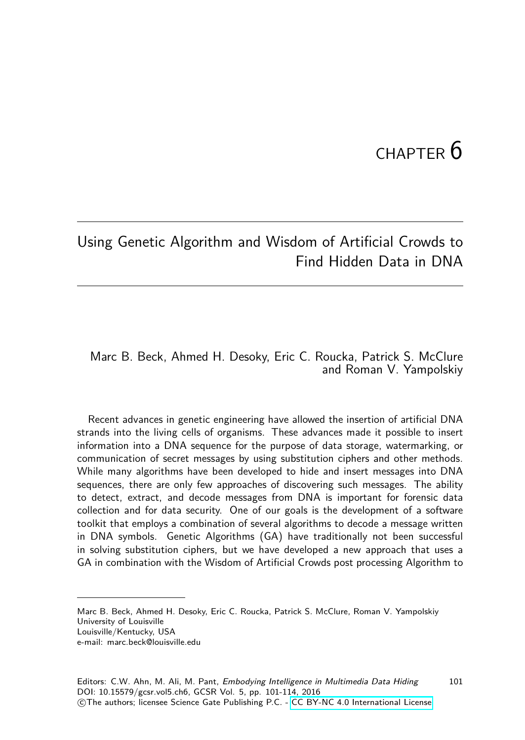# $CHAPTER$  6

101

# Using Genetic Algorithm and Wisdom of Artificial Crowds to Find Hidden Data in DNA

#### Marc B. Beck, Ahmed H. Desoky, Eric C. Roucka, Patrick S. McClure and Roman V. Yampolskiy

Recent advances in genetic engineering have allowed the insertion of artificial DNA strands into the living cells of organisms. These advances made it possible to insert information into a DNA sequence for the purpose of data storage, watermarking, or communication of secret messages by using substitution ciphers and other methods. While many algorithms have been developed to hide and insert messages into DNA sequences, there are only few approaches of discovering such messages. The ability to detect, extract, and decode messages from DNA is important for forensic data collection and for data security. One of our goals is the development of a software toolkit that employs a combination of several algorithms to decode a message written in DNA symbols. Genetic Algorithms (GA) have traditionally not been successful in solving substitution ciphers, but we have developed a new approach that uses a GA in combination with the Wisdom of Artificial Crowds post processing Algorithm to

Marc B. Beck, Ahmed H. Desoky, Eric C. Roucka, Patrick S. McClure, Roman V. Yampolskiy University of Louisville

Louisville/Kentucky, USA

e-mail: marc.beck@louisville.edu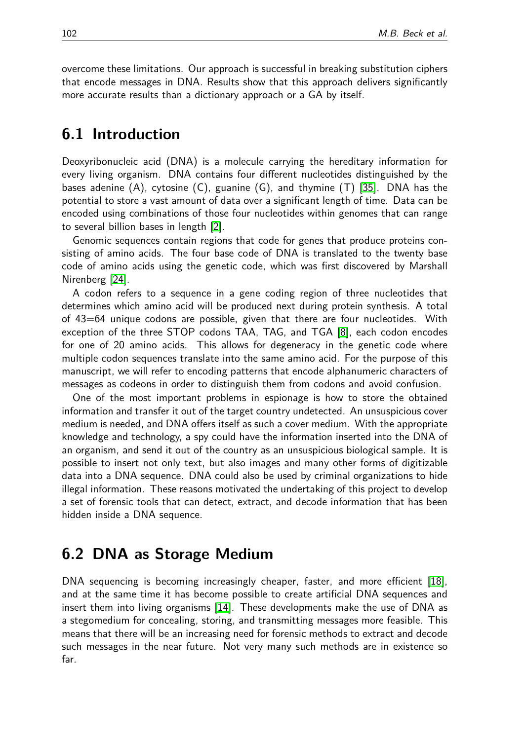overcome these limitations. Our approach is successful in breaking substitution ciphers that encode messages in DNA. Results show that this approach delivers significantly more accurate results than a dictionary approach or a GA by itself.

### **6.1 Introduction**

Deoxyribonucleic acid (DNA) is a molecule carrying the hereditary information for every living organism. DNA contains four different nucleotides distinguished by the bases adenine (A), cytosine (C), guanine (G), and thymine (T) [\[35\]](#page-13-0). DNA has the potential to store a vast amount of data over a significant length of time. Data can be encoded using combinations of those four nucleotides within genomes that can range to several billion bases in length [\[2\]](#page-11-0).

Genomic sequences contain regions that code for genes that produce proteins consisting of amino acids. The four base code of DNA is translated to the twenty base code of amino acids using the genetic code, which was first discovered by Marshall Nirenberg [\[24\]](#page-13-1).

A codon refers to a sequence in a gene coding region of three nucleotides that determines which amino acid will be produced next during protein synthesis. A total of 43=64 unique codons are possible, given that there are four nucleotides. With exception of the three STOP codons TAA, TAG, and TGA [\[8\]](#page-12-0), each codon encodes for one of 20 amino acids. This allows for degeneracy in the genetic code where multiple codon sequences translate into the same amino acid. For the purpose of this manuscript, we will refer to encoding patterns that encode alphanumeric characters of messages as codeons in order to distinguish them from codons and avoid confusion.

One of the most important problems in espionage is how to store the obtained information and transfer it out of the target country undetected. An unsuspicious cover medium is needed, and DNA offers itself as such a cover medium. With the appropriate knowledge and technology, a spy could have the information inserted into the DNA of an organism, and send it out of the country as an unsuspicious biological sample. It is possible to insert not only text, but also images and many other forms of digitizable data into a DNA sequence. DNA could also be used by criminal organizations to hide illegal information. These reasons motivated the undertaking of this project to develop a set of forensic tools that can detect, extract, and decode information that has been hidden inside a DNA sequence.

## **6.2 DNA as Storage Medium**

DNA sequencing is becoming increasingly cheaper, faster, and more efficient [\[18\]](#page-12-1), and at the same time it has become possible to create artificial DNA sequences and insert them into living organisms [\[14\]](#page-12-2). These developments make the use of DNA as a stegomedium for concealing, storing, and transmitting messages more feasible. This means that there will be an increasing need for forensic methods to extract and decode such messages in the near future. Not very many such methods are in existence so far.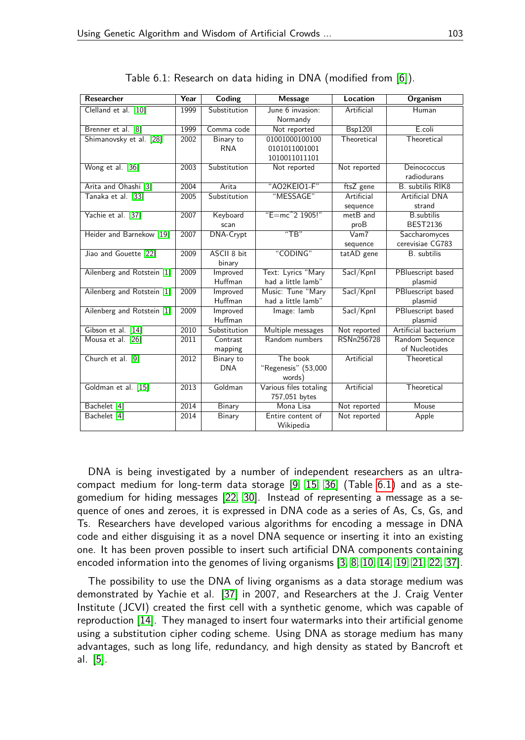| Researcher                 | Year | Coding                  | <b>Message</b>                                   | <b>Location</b>              | <b>Organism</b>                      |
|----------------------------|------|-------------------------|--------------------------------------------------|------------------------------|--------------------------------------|
| Clelland et al. [10]       | 1999 | Substitution            | June 6 invasion:<br>Normandy                     | Artificial                   | Human                                |
| Brenner et al. [8]         | 1999 | Comma code              | Not reported                                     | <b>Bsp120I</b>               | E.coli                               |
| Shimanovsky et al. [28]    | 2002 | Binary to<br><b>RNA</b> | 01001000100100<br>0101011001001<br>1010011011101 | Theoretical                  | Theoretical                          |
| Wong et al. [36]           | 2003 | Substitution            | Not reported                                     | Not reported                 | Deinococcus<br>radiodurans           |
| Arita and Ohashi [3]       | 2004 | Arita                   | "AO2KEIO1-F"                                     | ftsZ gene                    | <b>B.</b> subtilis RIK8              |
| Tanaka et al. [33]         | 2005 | Substitution            | "MESSAGE"                                        | Artificial<br>sequence       | <b>Artificial DNA</b><br>strand      |
| Yachie et al. [37]         | 2007 | Keyboard<br>scan        | "E=mc <sup>2</sup> 1905!"                        | met <sub>B</sub> and<br>proB | <b>B.subtilis</b><br><b>BEST2136</b> |
| Heider and Barnekow [19]   | 2007 | <b>DNA-Crypt</b>        | "TR"                                             | V <sub>am7</sub><br>sequence | Saccharomyces<br>cerevisiae CG783    |
| Jiao and Gouette [22]      | 2009 | ASCII 8 bit<br>binary   | "CODING"                                         | tatAD gene                   | B. subtilis                          |
| Ailenberg and Rotstein [1] | 2009 | Improved<br>Huffman     | Text: Lyrics "Mary<br>had a little lamb"         | Sacl/Kpnl                    | PBluescript based<br>plasmid         |
| Ailenberg and Rotstein [1] | 2009 | Improved<br>Huffman     | Music: Tune "Mary<br>had a little lamb"          | Sacl/Kpnl                    | PBluescript based<br>plasmid         |
| Ailenberg and Rotstein [1] | 2009 | Improved<br>Huffman     | Image: lamb                                      | Sacl/Kpnl                    | PBluescript based<br>plasmid         |
| Gibson et al. [14]         | 2010 | Substitution            | Multiple messages                                | Not reported                 | Artificial bacterium                 |
| Mousa et al. [26]          | 2011 | Contrast<br>mapping     | Random numbers                                   | RSNn256728                   | Random Sequence<br>of Nucleotides    |
| Church et al. [9]          | 2012 | Binary to<br><b>DNA</b> | The book<br>"Regenesis" (53,000<br>words)        | Artificial                   | Theoretical                          |
| Goldman et al. [15]        | 2013 | Goldman                 | Various files totaling<br>757,051 bytes          | Artificial                   | Theoretical                          |
| Bachelet [4]               | 2014 | Binary                  | Mona Lisa                                        | Not reported                 | Mouse                                |
| Bachelet [4]               | 2014 | Binary                  | Entire content of<br>Wikipedia                   | Not reported                 | Apple                                |

<span id="page-2-0"></span>Table 6.1: Research on data hiding in DNA (modified from [\[6\]](#page-12-3)).

DNA is being investigated by a number of independent researchers as an ultracompact medium for long-term data storage [\[9,](#page-12-7) [15,](#page-12-8) [36\]](#page-13-3) (Table [6.1\)](#page-2-0) and as a stegomedium for hiding messages [\[22,](#page-12-6) [30\]](#page-13-7). Instead of representing a message as a sequence of ones and zeroes, it is expressed in DNA code as a series of As, Cs, Gs, and Ts. Researchers have developed various algorithms for encoding a message in DNA code and either disguising it as a novel DNA sequence or inserting it into an existing one. It has been proven possible to insert such artificial DNA components containing encoded information into the genomes of living organisms [\[3,](#page-11-1) [8,](#page-12-0) [10,](#page-12-4) [14,](#page-12-2) [19,](#page-12-5) [21,](#page-12-10) [22,](#page-12-6) [37\]](#page-13-5).

The possibility to use the DNA of living organisms as a data storage medium was demonstrated by Yachie et al. [\[37\]](#page-13-5) in 2007, and Researchers at the J. Craig Venter Institute (JCVI) created the first cell with a synthetic genome, which was capable of reproduction [\[14\]](#page-12-2). They managed to insert four watermarks into their artificial genome using a substitution cipher coding scheme. Using DNA as storage medium has many advantages, such as long life, redundancy, and high density as stated by Bancroft et al. [\[5\]](#page-12-11).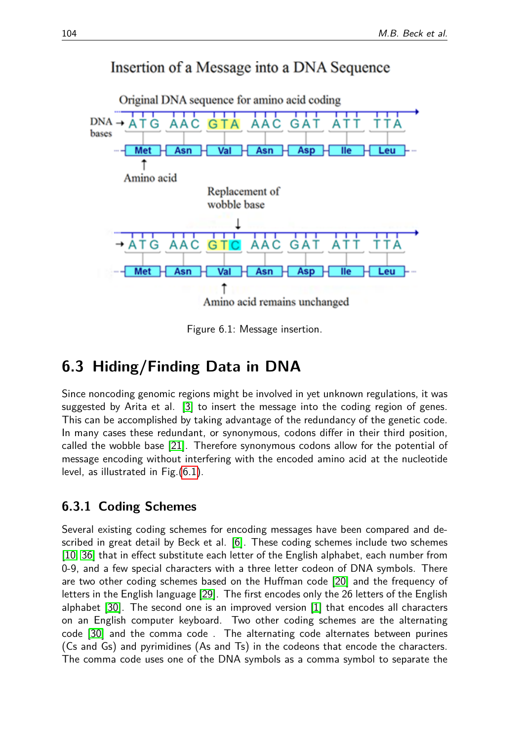# Insertion of a Message into a DNA Sequence



<span id="page-3-0"></span>Figure 6.1: Message insertion.

# **6.3 Hiding/Finding Data in DNA**

Since noncoding genomic regions might be involved in yet unknown regulations, it was suggested by Arita et al. [\[3\]](#page-11-1) to insert the message into the coding region of genes. This can be accomplished by taking advantage of the redundancy of the genetic code. In many cases these redundant, or synonymous, codons differ in their third position, called the wobble base [\[21\]](#page-12-10). Therefore synonymous codons allow for the potential of message encoding without interfering with the encoded amino acid at the nucleotide level, as illustrated in Fig.[\(6.1\)](#page-3-0).

## **6.3.1 Coding Schemes**

Several existing coding schemes for encoding messages have been compared and described in great detail by Beck et al. [\[6\]](#page-12-3). These coding schemes include two schemes [\[10,](#page-12-4) [36\]](#page-13-3) that in effect substitute each letter of the English alphabet, each number from 0-9, and a few special characters with a three letter codeon of DNA symbols. There are two other coding schemes based on the Huffman code [\[20\]](#page-12-12) and the frequency of letters in the English language [\[29\]](#page-13-8). The first encodes only the 26 letters of the English alphabet [\[30\]](#page-13-7). The second one is an improved version [\[1\]](#page-11-2) that encodes all characters on an English computer keyboard. Two other coding schemes are the alternating code [\[30\]](#page-13-7) and the comma code . The alternating code alternates between purines (Cs and Gs) and pyrimidines (As and Ts) in the codeons that encode the characters. The comma code uses one of the DNA symbols as a comma symbol to separate the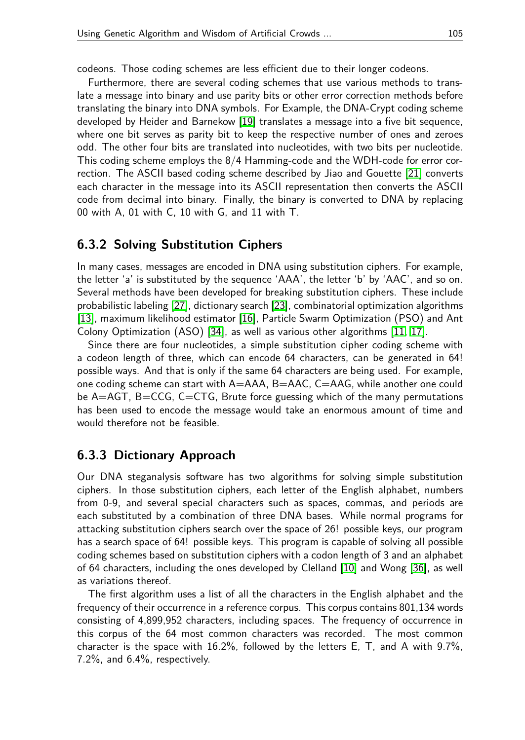codeons. Those coding schemes are less efficient due to their longer codeons.

Furthermore, there are several coding schemes that use various methods to translate a message into binary and use parity bits or other error correction methods before translating the binary into DNA symbols. For Example, the DNA-Crypt coding scheme developed by Heider and Barnekow [\[19\]](#page-12-5) translates a message into a five bit sequence, where one bit serves as parity bit to keep the respective number of ones and zeroes odd. The other four bits are translated into nucleotides, with two bits per nucleotide. This coding scheme employs the 8/4 Hamming-code and the WDH-code for error correction. The ASCII based coding scheme described by Jiao and Gouette [\[21\]](#page-12-10) converts each character in the message into its ASCII representation then converts the ASCII code from decimal into binary. Finally, the binary is converted to DNA by replacing 00 with A, 01 with C, 10 with G, and 11 with T.

#### **6.3.2 Solving Substitution Ciphers**

In many cases, messages are encoded in DNA using substitution ciphers. For example, the letter 'a' is substituted by the sequence 'AAA', the letter 'b' by 'AAC', and so on. Several methods have been developed for breaking substitution ciphers. These include probabilistic labeling [\[27\]](#page-13-9), dictionary search [\[23\]](#page-12-13), combinatorial optimization algorithms [\[13\]](#page-12-14), maximum likelihood estimator [\[16\]](#page-12-15), Particle Swarm Optimization (PSO) and Ant Colony Optimization (ASO) [\[34\]](#page-13-10), as well as various other algorithms [\[11,](#page-12-16) [17\]](#page-12-17).

Since there are four nucleotides, a simple substitution cipher coding scheme with a codeon length of three, which can encode 64 characters, can be generated in 64! possible ways. And that is only if the same 64 characters are being used. For example, one coding scheme can start with A=AAA, B=AAC, C=AAG, while another one could be A=AGT, B=CCG, C=CTG, Brute force guessing which of the many permutations has been used to encode the message would take an enormous amount of time and would therefore not be feasible.

#### **6.3.3 Dictionary Approach**

Our DNA steganalysis software has two algorithms for solving simple substitution ciphers. In those substitution ciphers, each letter of the English alphabet, numbers from 0-9, and several special characters such as spaces, commas, and periods are each substituted by a combination of three DNA bases. While normal programs for attacking substitution ciphers search over the space of 26! possible keys, our program has a search space of 64! possible keys. This program is capable of solving all possible coding schemes based on substitution ciphers with a codon length of 3 and an alphabet of 64 characters, including the ones developed by Clelland [\[10\]](#page-12-4) and Wong [\[36\]](#page-13-3), as well as variations thereof.

The first algorithm uses a list of all the characters in the English alphabet and the frequency of their occurrence in a reference corpus. This corpus contains 801,134 words consisting of 4,899,952 characters, including spaces. The frequency of occurrence in this corpus of the 64 most common characters was recorded. The most common character is the space with 16.2%, followed by the letters E, T, and A with 9.7%, 7.2%, and 6.4%, respectively.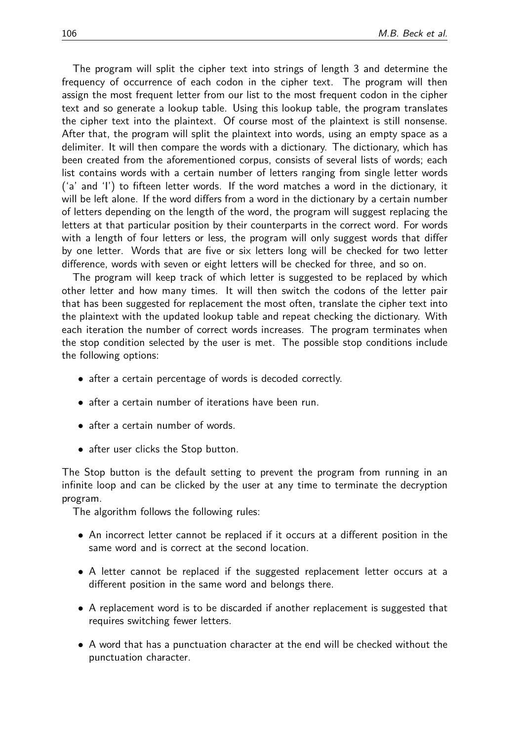The program will split the cipher text into strings of length 3 and determine the frequency of occurrence of each codon in the cipher text. The program will then assign the most frequent letter from our list to the most frequent codon in the cipher text and so generate a lookup table. Using this lookup table, the program translates the cipher text into the plaintext. Of course most of the plaintext is still nonsense. After that, the program will split the plaintext into words, using an empty space as a delimiter. It will then compare the words with a dictionary. The dictionary, which has been created from the aforementioned corpus, consists of several lists of words; each list contains words with a certain number of letters ranging from single letter words ('a' and 'I') to fifteen letter words. If the word matches a word in the dictionary, it will be left alone. If the word differs from a word in the dictionary by a certain number of letters depending on the length of the word, the program will suggest replacing the letters at that particular position by their counterparts in the correct word. For words with a length of four letters or less, the program will only suggest words that differ by one letter. Words that are five or six letters long will be checked for two letter difference, words with seven or eight letters will be checked for three, and so on.

The program will keep track of which letter is suggested to be replaced by which other letter and how many times. It will then switch the codons of the letter pair that has been suggested for replacement the most often, translate the cipher text into the plaintext with the updated lookup table and repeat checking the dictionary. With each iteration the number of correct words increases. The program terminates when the stop condition selected by the user is met. The possible stop conditions include the following options:

- after a certain percentage of words is decoded correctly.
- after a certain number of iterations have been run.
- after a certain number of words.
- after user clicks the Stop button.

The Stop button is the default setting to prevent the program from running in an infinite loop and can be clicked by the user at any time to terminate the decryption program.

The algorithm follows the following rules:

- An incorrect letter cannot be replaced if it occurs at a different position in the same word and is correct at the second location.
- A letter cannot be replaced if the suggested replacement letter occurs at a different position in the same word and belongs there.
- A replacement word is to be discarded if another replacement is suggested that requires switching fewer letters.
- A word that has a punctuation character at the end will be checked without the punctuation character.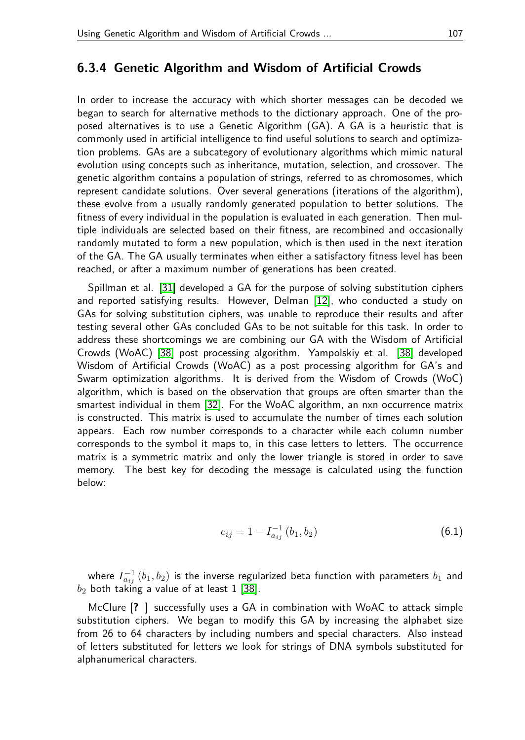#### **6.3.4 Genetic Algorithm and Wisdom of Artificial Crowds**

In order to increase the accuracy with which shorter messages can be decoded we began to search for alternative methods to the dictionary approach. One of the proposed alternatives is to use a Genetic Algorithm (GA). A GA is a heuristic that is commonly used in artificial intelligence to find useful solutions to search and optimization problems. GAs are a subcategory of evolutionary algorithms which mimic natural evolution using concepts such as inheritance, mutation, selection, and crossover. The genetic algorithm contains a population of strings, referred to as chromosomes, which represent candidate solutions. Over several generations (iterations of the algorithm), these evolve from a usually randomly generated population to better solutions. The fitness of every individual in the population is evaluated in each generation. Then multiple individuals are selected based on their fitness, are recombined and occasionally randomly mutated to form a new population, which is then used in the next iteration of the GA. The GA usually terminates when either a satisfactory fitness level has been reached, or after a maximum number of generations has been created.

Spillman et al. [\[31\]](#page-13-11) developed a GA for the purpose of solving substitution ciphers and reported satisfying results. However, Delman [\[12\]](#page-12-18), who conducted a study on GAs for solving substitution ciphers, was unable to reproduce their results and after testing several other GAs concluded GAs to be not suitable for this task. In order to address these shortcomings we are combining our GA with the Wisdom of Artificial Crowds (WoAC) [\[38\]](#page-13-12) post processing algorithm. Yampolskiy et al. [\[38\]](#page-13-12) developed Wisdom of Artificial Crowds (WoAC) as a post processing algorithm for GA's and Swarm optimization algorithms. It is derived from the Wisdom of Crowds (WoC) algorithm, which is based on the observation that groups are often smarter than the smartest individual in them [\[32\]](#page-13-13). For the WoAC algorithm, an nxn occurrence matrix is constructed. This matrix is used to accumulate the number of times each solution appears. Each row number corresponds to a character while each column number corresponds to the symbol it maps to, in this case letters to letters. The occurrence matrix is a symmetric matrix and only the lower triangle is stored in order to save memory. The best key for decoding the message is calculated using the function below:

$$
c_{ij} = 1 - I_{a_{ij}}^{-1} (b_1, b_2)
$$
 (6.1)

where  $I_{a_{ij}}^{-1}\left( b_{1},b_{2}\right)$  is the inverse regularized beta function with parameters  $b_{1}$  and  $b_2$  both taking a value of at least 1 [\[38\]](#page-13-12).

McClure [**?** ] successfully uses a GA in combination with WoAC to attack simple substitution ciphers. We began to modify this GA by increasing the alphabet size from 26 to 64 characters by including numbers and special characters. Also instead of letters substituted for letters we look for strings of DNA symbols substituted for alphanumerical characters.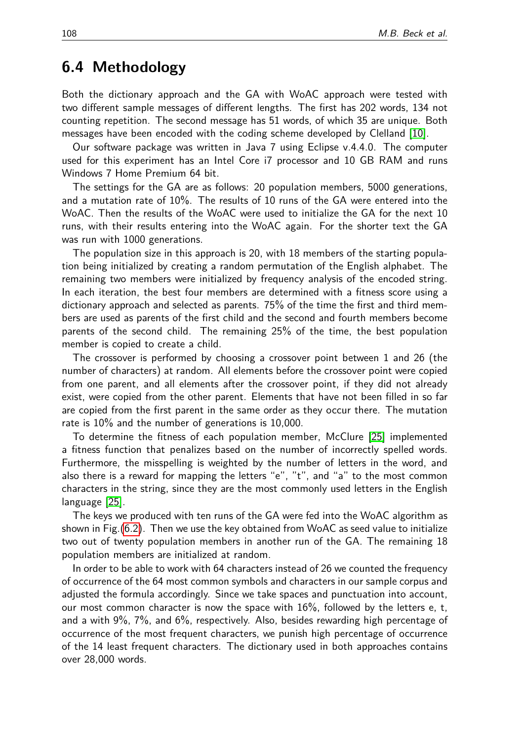## **6.4 Methodology**

Both the dictionary approach and the GA with WoAC approach were tested with two different sample messages of different lengths. The first has 202 words, 134 not counting repetition. The second message has 51 words, of which 35 are unique. Both messages have been encoded with the coding scheme developed by Clelland [\[10\]](#page-12-4).

Our software package was written in Java 7 using Eclipse v.4.4.0. The computer used for this experiment has an Intel Core i7 processor and 10 GB RAM and runs Windows 7 Home Premium 64 bit.

The settings for the GA are as follows: 20 population members, 5000 generations, and a mutation rate of 10%. The results of 10 runs of the GA were entered into the WoAC. Then the results of the WoAC were used to initialize the GA for the next 10 runs, with their results entering into the WoAC again. For the shorter text the GA was run with 1000 generations.

The population size in this approach is 20, with 18 members of the starting population being initialized by creating a random permutation of the English alphabet. The remaining two members were initialized by frequency analysis of the encoded string. In each iteration, the best four members are determined with a fitness score using a dictionary approach and selected as parents. 75% of the time the first and third members are used as parents of the first child and the second and fourth members become parents of the second child. The remaining 25% of the time, the best population member is copied to create a child.

The crossover is performed by choosing a crossover point between 1 and 26 (the number of characters) at random. All elements before the crossover point were copied from one parent, and all elements after the crossover point, if they did not already exist, were copied from the other parent. Elements that have not been filled in so far are copied from the first parent in the same order as they occur there. The mutation rate is 10% and the number of generations is 10,000.

To determine the fitness of each population member, McClure [\[25\]](#page-13-14) implemented a fitness function that penalizes based on the number of incorrectly spelled words. Furthermore, the misspelling is weighted by the number of letters in the word, and also there is a reward for mapping the letters "e", "t", and "a" to the most common characters in the string, since they are the most commonly used letters in the English language [\[25\]](#page-13-14).

The keys we produced with ten runs of the GA were fed into the WoAC algorithm as shown in Fig.[\(6.2\)](#page-8-0). Then we use the key obtained from WoAC as seed value to initialize two out of twenty population members in another run of the GA. The remaining 18 population members are initialized at random.

In order to be able to work with 64 characters instead of 26 we counted the frequency of occurrence of the 64 most common symbols and characters in our sample corpus and adjusted the formula accordingly. Since we take spaces and punctuation into account, our most common character is now the space with 16%, followed by the letters e, t, and a with 9%, 7%, and 6%, respectively. Also, besides rewarding high percentage of occurrence of the most frequent characters, we punish high percentage of occurrence of the 14 least frequent characters. The dictionary used in both approaches contains over 28,000 words.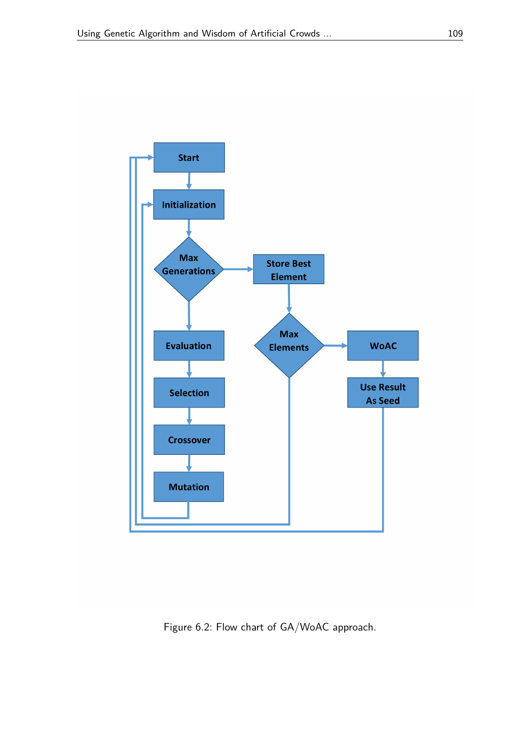

<span id="page-8-0"></span>Figure 6.2: Flow chart of GA/WoAC approach.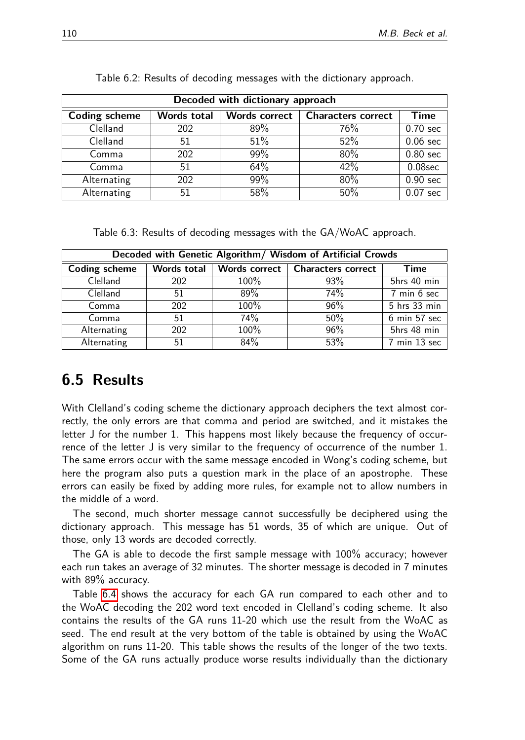| Decoded with dictionary approach |             |                      |                           |                    |  |
|----------------------------------|-------------|----------------------|---------------------------|--------------------|--|
| Coding scheme                    | Words total | <b>Words correct</b> | <b>Characters correct</b> | Time               |  |
| Clelland                         | 202         | 89%                  | 76%                       | $0.70 \text{ sec}$ |  |
| Clelland                         | 51          | 51%                  | 52%                       | $0.06 \text{ sec}$ |  |
| Comma                            | 202         | 99%                  | 80%                       | $0.80$ sec         |  |
| Comma                            | 51          | 64%                  | 42%                       | $0.08$ sec         |  |
| Alternating                      | 202         | 99%                  | 80%                       | $0.90 \text{ sec}$ |  |
| Alternating                      | 51          | 58%                  | 50%                       | $0.07 \text{ sec}$ |  |

Table 6.2: Results of decoding messages with the dictionary approach.

Table 6.3: Results of decoding messages with the GA/WoAC approach.

| Decoded with Genetic Algorithm/ Wisdom of Artificial Crowds |             |                      |                           |                                 |  |
|-------------------------------------------------------------|-------------|----------------------|---------------------------|---------------------------------|--|
| <b>Coding scheme</b>                                        | Words total | <b>Words correct</b> | <b>Characters correct</b> | Time                            |  |
| Clelland                                                    | 202         | 100%                 | 93%                       | 5hrs 40 min                     |  |
| Clelland                                                    | 51          | 89%                  | 74%                       | 7 min 6 sec                     |  |
| Comma                                                       | 202         | 100%                 | 96%                       | 5 hrs 33 min                    |  |
| Comma                                                       | 51          | 74%                  | 50%                       | $6 \text{ min } 57 \text{ sec}$ |  |
| Alternating                                                 | 202         | 100%                 | 96%                       | 5hrs 48 min                     |  |
| Alternating                                                 | 51          | 84%                  | 53%                       | 7 min 13 sec                    |  |

# **6.5 Results**

With Clelland's coding scheme the dictionary approach deciphers the text almost correctly, the only errors are that comma and period are switched, and it mistakes the letter J for the number 1. This happens most likely because the frequency of occurrence of the letter J is very similar to the frequency of occurrence of the number 1. The same errors occur with the same message encoded in Wong's coding scheme, but here the program also puts a question mark in the place of an apostrophe. These errors can easily be fixed by adding more rules, for example not to allow numbers in the middle of a word.

The second, much shorter message cannot successfully be deciphered using the dictionary approach. This message has 51 words, 35 of which are unique. Out of those, only 13 words are decoded correctly.

The GA is able to decode the first sample message with 100% accuracy; however each run takes an average of 32 minutes. The shorter message is decoded in 7 minutes with 89% accuracy.

Table [6.4](#page-10-0) shows the accuracy for each GA run compared to each other and to the WoAC decoding the 202 word text encoded in Clelland's coding scheme. It also contains the results of the GA runs 11-20 which use the result from the WoAC as seed. The end result at the very bottom of the table is obtained by using the WoAC algorithm on runs 11-20. This table shows the results of the longer of the two texts. Some of the GA runs actually produce worse results individually than the dictionary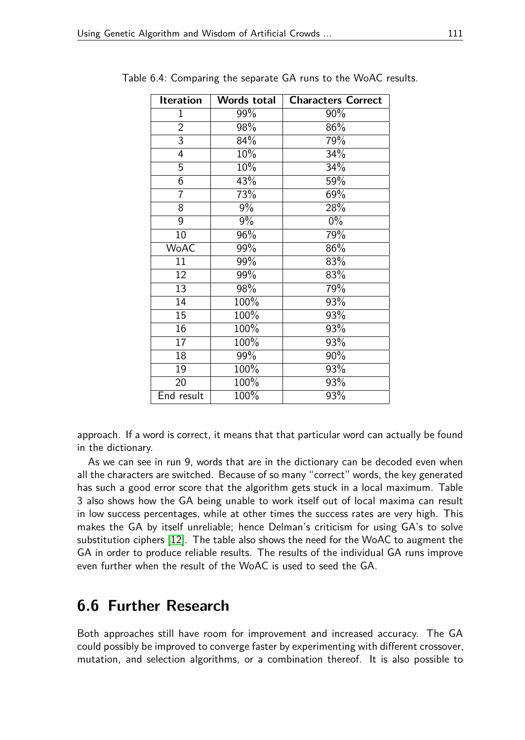<span id="page-10-0"></span>

| Iteration       | Words total | <b>Characters Correct</b> |
|-----------------|-------------|---------------------------|
| 1               | 99%         | $90\%$                    |
| $\overline{2}$  | 98%         | 86%                       |
| $\overline{3}$  | 84%         | 79%                       |
| $\overline{4}$  | 10%         | 34%                       |
| $\overline{5}$  | 10%         | 34%                       |
| $\overline{6}$  | 43%         | 59%                       |
| $\overline{7}$  | 73%         | 69%                       |
| $\overline{8}$  | 9%          | 28%                       |
| $\overline{9}$  | $9\%$       | $0\%$                     |
| $\overline{10}$ | 96%         | 79%                       |
| <b>WoAC</b>     | 99%         | 86%                       |
| $\overline{11}$ | 99%         | 83%                       |
| $\overline{12}$ | 99%         | 83%                       |
| 13              | 98%         | 79%                       |
| $\overline{14}$ | 100%        | 93%                       |
| $\overline{15}$ | 100%        | 93%                       |
| $\overline{16}$ | 100%        | 93%                       |
| $\overline{17}$ | 100%        | 93%                       |
| $\overline{18}$ | 99%         | 90%                       |
| 19              | 100%        | 93%                       |
| $\overline{20}$ | 100%        | 93%                       |
| End result      | 100%        | 93%                       |

Table 6.4: Comparing the separate GA runs to the WoAC results.

approach. If a word is correct, it means that that particular word can actually be found in the dictionary.

As we can see in run 9, words that are in the dictionary can be decoded even when all the characters are switched. Because of so many "correct" words, the key generated has such a good error score that the algorithm gets stuck in a local maximum. Table 3 also shows how the GA being unable to work itself out of local maxima can result in low success percentages, while at other times the success rates are very high. This makes the GA by itself unreliable; hence Delman's criticism for using GA's to solve substitution ciphers [\[12\]](#page-12-18). The table also shows the need for the WoAC to augment the GA in order to produce reliable results. The results of the individual GA runs improve even further when the result of the WoAC is used to seed the GA.

# **6.6 Further Research**

Both approaches still have room for improvement and increased accuracy. The GA could possibly be improved to converge faster by experimenting with different crossover, mutation, and selection algorithms, or a combination thereof. It is also possible to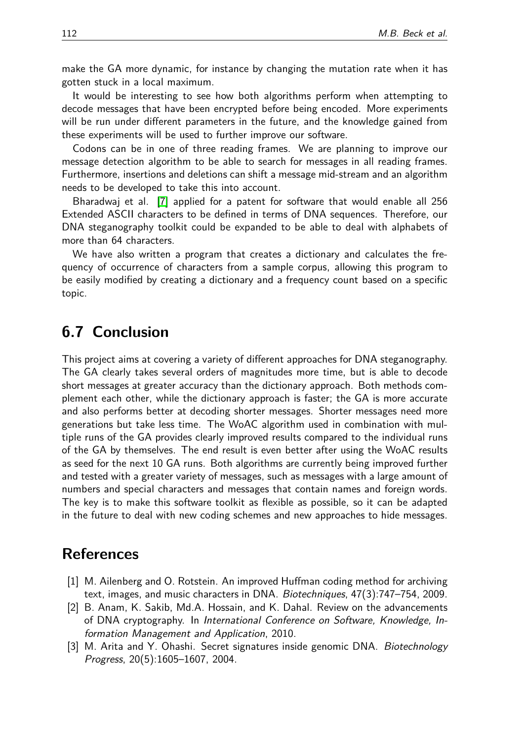make the GA more dynamic, for instance by changing the mutation rate when it has gotten stuck in a local maximum.

It would be interesting to see how both algorithms perform when attempting to decode messages that have been encrypted before being encoded. More experiments will be run under different parameters in the future, and the knowledge gained from these experiments will be used to further improve our software.

Codons can be in one of three reading frames. We are planning to improve our message detection algorithm to be able to search for messages in all reading frames. Furthermore, insertions and deletions can shift a message mid-stream and an algorithm needs to be developed to take this into account.

Bharadwaj et al. [\[7\]](#page-12-19) applied for a patent for software that would enable all 256 Extended ASCII characters to be defined in terms of DNA sequences. Therefore, our DNA steganography toolkit could be expanded to be able to deal with alphabets of more than 64 characters.

We have also written a program that creates a dictionary and calculates the frequency of occurrence of characters from a sample corpus, allowing this program to be easily modified by creating a dictionary and a frequency count based on a specific topic.

### **6.7 Conclusion**

This project aims at covering a variety of different approaches for DNA steganography. The GA clearly takes several orders of magnitudes more time, but is able to decode short messages at greater accuracy than the dictionary approach. Both methods complement each other, while the dictionary approach is faster; the GA is more accurate and also performs better at decoding shorter messages. Shorter messages need more generations but take less time. The WoAC algorithm used in combination with multiple runs of the GA provides clearly improved results compared to the individual runs of the GA by themselves. The end result is even better after using the WoAC results as seed for the next 10 GA runs. Both algorithms are currently being improved further and tested with a greater variety of messages, such as messages with a large amount of numbers and special characters and messages that contain names and foreign words. The key is to make this software toolkit as flexible as possible, so it can be adapted in the future to deal with new coding schemes and new approaches to hide messages.

### **References**

- <span id="page-11-2"></span>[1] M. Ailenberg and O. Rotstein. An improved Huffman coding method for archiving text, images, and music characters in DNA. Biotechniques, 47(3):747–754, 2009.
- <span id="page-11-0"></span>[2] B. Anam, K. Sakib, Md.A. Hossain, and K. Dahal. Review on the advancements of DNA cryptography. In International Conference on Software, Knowledge, Information Management and Application, 2010.
- <span id="page-11-1"></span>[3] M. Arita and Y. Ohashi. Secret signatures inside genomic DNA. Biotechnology Progress, 20(5):1605–1607, 2004.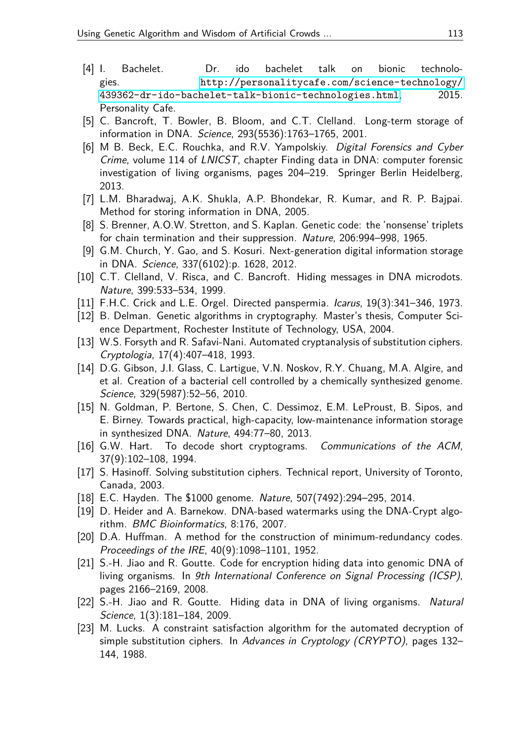- <span id="page-12-9"></span>[4] I. Bachelet. Dr. ido bachelet talk on bionic technologies. [http://personalitycafe.com/science-technology/](http://personalitycafe.com/science-technology/439362-dr-ido-bachelet-talk-bionic-technologies.html) [439362-dr-ido-bachelet-talk-bionic-technologies.html](http://personalitycafe.com/science-technology/439362-dr-ido-bachelet-talk-bionic-technologies.html), 2015. Personality Cafe.
- <span id="page-12-11"></span>[5] C. Bancroft, T. Bowler, B. Bloom, and C.T. Clelland. Long-term storage of information in DNA. Science, 293(5536):1763–1765, 2001.
- <span id="page-12-3"></span>[6] M B. Beck, E.C. Rouchka, and R.V. Yampolskiy. Digital Forensics and Cyber Crime, volume 114 of LNICST, chapter Finding data in DNA: computer forensic investigation of living organisms, pages 204–219. Springer Berlin Heidelberg, 2013.
- <span id="page-12-19"></span>[7] L.M. Bharadwaj, A.K. Shukla, A.P. Bhondekar, R. Kumar, and R. P. Bajpai. Method for storing information in DNA, 2005.
- <span id="page-12-0"></span>[8] S. Brenner, A.O.W. Stretton, and S. Kaplan. Genetic code: the 'nonsense' triplets for chain termination and their suppression. Nature, 206:994–998, 1965.
- <span id="page-12-7"></span>[9] G.M. Church, Y. Gao, and S. Kosuri. Next-generation digital information storage in DNA. Science, 337(6102):p. 1628, 2012.
- <span id="page-12-4"></span>[10] C.T. Clelland, V. Risca, and C. Bancroft. Hiding messages in DNA microdots. Nature, 399:533–534, 1999.
- <span id="page-12-16"></span>[11] F.H.C. Crick and L.E. Orgel. Directed panspermia. Icarus, 19(3):341–346, 1973.
- <span id="page-12-18"></span>[12] B. Delman. Genetic algorithms in cryptography. Master's thesis, Computer Science Department, Rochester Institute of Technology, USA, 2004.
- <span id="page-12-14"></span>[13] W.S. Forsyth and R. Safavi-Nani. Automated cryptanalysis of substitution ciphers. Cryptologia, 17(4):407–418, 1993.
- <span id="page-12-2"></span>[14] D.G. Gibson, J.I. Glass, C. Lartigue, V.N. Noskov, R.Y. Chuang, M.A. Algire, and et al. Creation of a bacterial cell controlled by a chemically synthesized genome. Science, 329(5987):52–56, 2010.
- <span id="page-12-8"></span>[15] N. Goldman, P. Bertone, S. Chen, C. Dessimoz, E.M. LeProust, B. Sipos, and E. Birney. Towards practical, high-capacity, low-maintenance information storage in synthesized DNA. Nature, 494:77–80, 2013.
- <span id="page-12-15"></span>[16] G.W. Hart. To decode short cryptograms. Communications of the ACM, 37(9):102–108, 1994.
- <span id="page-12-17"></span>[17] S. Hasinoff. Solving substitution ciphers. Technical report, University of Toronto, Canada, 2003.
- <span id="page-12-1"></span>[18] E.C. Hayden. The \$1000 genome. Nature, 507(7492):294–295, 2014.
- <span id="page-12-5"></span>[19] D. Heider and A. Barnekow. DNA-based watermarks using the DNA-Crypt algorithm. BMC Bioinformatics, 8:176, 2007.
- <span id="page-12-12"></span>[20] D.A. Huffman. A method for the construction of minimum-redundancy codes. Proceedings of the IRE, 40(9):1098–1101, 1952.
- <span id="page-12-10"></span>[21] S.-H. Jiao and R. Goutte. Code for encryption hiding data into genomic DNA of living organisms. In 9th International Conference on Signal Processing (ICSP), pages 2166–2169, 2008.
- <span id="page-12-6"></span>[22] S.-H. Jiao and R. Goutte. Hiding data in DNA of living organisms. Natural Science, 1(3):181–184, 2009.
- <span id="page-12-13"></span>[23] M. Lucks. A constraint satisfaction algorithm for the automated decryption of simple substitution ciphers. In Advances in Cryptology (CRYPTO), pages 132– 144, 1988.